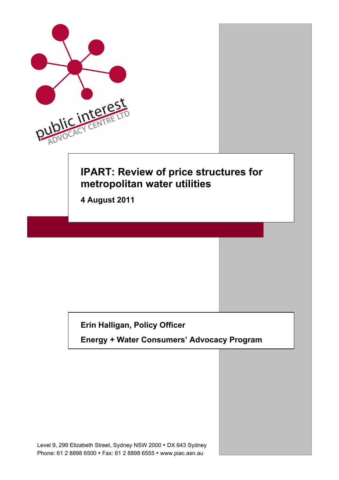

## **Erin Halligan, Policy Officer**

**Energy + Water Consumers' Advocacy Program**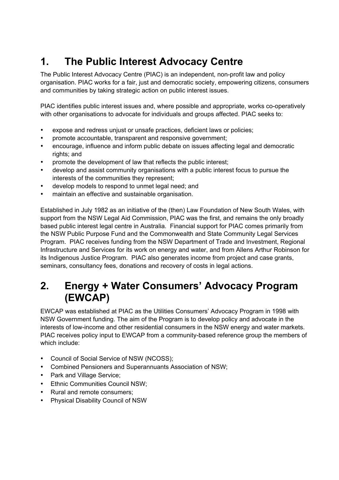# **1. The Public Interest Advocacy Centre**

The Public Interest Advocacy Centre (PIAC) is an independent, non-profit law and policy organisation. PIAC works for a fair, just and democratic society, empowering citizens, consumers and communities by taking strategic action on public interest issues.

PIAC identifies public interest issues and, where possible and appropriate, works co-operatively with other organisations to advocate for individuals and groups affected. PIAC seeks to:

- expose and redress unjust or unsafe practices, deficient laws or policies;
- promote accountable, transparent and responsive government;
- encourage, influence and inform public debate on issues affecting legal and democratic rights; and
- promote the development of law that reflects the public interest;
- develop and assist community organisations with a public interest focus to pursue the interests of the communities they represent;
- develop models to respond to unmet legal need; and
- maintain an effective and sustainable organisation.

Established in July 1982 as an initiative of the (then) Law Foundation of New South Wales, with support from the NSW Legal Aid Commission, PIAC was the first, and remains the only broadly based public interest legal centre in Australia. Financial support for PIAC comes primarily from the NSW Public Purpose Fund and the Commonwealth and State Community Legal Services Program. PIAC receives funding from the NSW Department of Trade and Investment, Regional Infrastructure and Services for its work on energy and water, and from Allens Arthur Robinson for its Indigenous Justice Program. PIAC also generates income from project and case grants, seminars, consultancy fees, donations and recovery of costs in legal actions.

# **2. Energy + Water Consumers' Advocacy Program (EWCAP)**

EWCAP was established at PIAC as the Utilities Consumers' Advocacy Program in 1998 with NSW Government funding. The aim of the Program is to develop policy and advocate in the interests of low-income and other residential consumers in the NSW energy and water markets. PIAC receives policy input to EWCAP from a community-based reference group the members of which include:

- Council of Social Service of NSW (NCOSS);
- Combined Pensioners and Superannuants Association of NSW;
- Park and Village Service;
- Ethnic Communities Council NSW;
- Rural and remote consumers;
- Physical Disability Council of NSW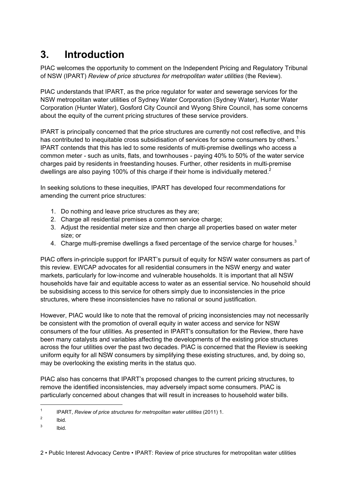# **3. Introduction**

PIAC welcomes the opportunity to comment on the Independent Pricing and Regulatory Tribunal of NSW (IPART) *Review of price structures for metropolitan water utilities* (the Review).

PIAC understands that IPART, as the price regulator for water and sewerage services for the NSW metropolitan water utilities of Sydney Water Corporation (Sydney Water), Hunter Water Corporation (Hunter Water), Gosford City Council and Wyong Shire Council, has some concerns about the equity of the current pricing structures of these service providers.

IPART is principally concerned that the price structures are currently not cost reflective, and this has contributed to inequitable cross subsidisation of services for some consumers by others.<sup>1</sup> IPART contends that this has led to some residents of multi-premise dwellings who access a common meter - such as units, flats, and townhouses - paying 40% to 50% of the water service charges paid by residents in freestanding houses. Further, other residents in multi-premise dwellings are also paying 100% of this charge if their home is individually metered.<sup>2</sup>

In seeking solutions to these inequities, IPART has developed four recommendations for amending the current price structures:

- 1. Do nothing and leave price structures as they are;
- 2. Charge all residential premises a common service charge;
- 3. Adjust the residential meter size and then charge all properties based on water meter size; or
- 4. Charge multi-premise dwellings a fixed percentage of the service charge for houses. $3$

PIAC offers in-principle support for IPART's pursuit of equity for NSW water consumers as part of this review. EWCAP advocates for all residential consumers in the NSW energy and water markets, particularly for low-income and vulnerable households. It is important that all NSW households have fair and equitable access to water as an essential service. No household should be subsidising access to this service for others simply due to inconsistencies in the price structures, where these inconsistencies have no rational or sound justification.

However, PIAC would like to note that the removal of pricing inconsistencies may not necessarily be consistent with the promotion of overall equity in water access and service for NSW consumers of the four utilities. As presented in IPART's consultation for the Review, there have been many catalysts and variables affecting the developments of the existing price structures across the four utilities over the past two decades. PIAC is concerned that the Review is seeking uniform equity for all NSW consumers by simplifying these existing structures, and, by doing so, may be overlooking the existing merits in the status quo.

PIAC also has concerns that IPART's proposed changes to the current pricing structures, to remove the identified inconsistencies, may adversely impact some consumers. PIAC is particularly concerned about changes that will result in increases to household water bills.

<sup>&</sup>lt;sup>1</sup> IPART, *Review of price structures for metropolitan water utilities* (2011) 1.

<sup>2</sup> Ibid.

<sup>3</sup> Ibid.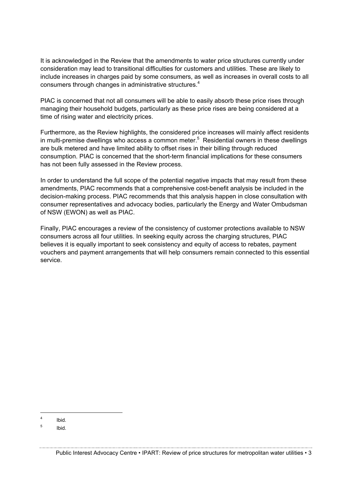It is acknowledged in the Review that the amendments to water price structures currently under consideration may lead to transitional difficulties for customers and utilities. These are likely to include increases in charges paid by some consumers, as well as increases in overall costs to all consumers through changes in administrative structures. 4

PIAC is concerned that not all consumers will be able to easily absorb these price rises through managing their household budgets, particularly as these price rises are being considered at a time of rising water and electricity prices.

Furthermore, as the Review highlights, the considered price increases will mainly affect residents in multi-premise dwellings who access a common meter.<sup>5</sup> Residential owners in these dwellings are bulk metered and have limited ability to offset rises in their billing through reduced consumption. PIAC is concerned that the short-term financial implications for these consumers has not been fully assessed in the Review process.

In order to understand the full scope of the potential negative impacts that may result from these amendments, PIAC recommends that a comprehensive cost-benefit analysis be included in the decision-making process. PIAC recommends that this analysis happen in close consultation with consumer representatives and advocacy bodies, particularly the Energy and Water Ombudsman of NSW (EWON) as well as PIAC.

Finally, PIAC encourages a review of the consistency of customer protections available to NSW consumers across all four utilities. In seeking equity across the charging structures, PIAC believes it is equally important to seek consistency and equity of access to rebates, payment vouchers and payment arrangements that will help consumers remain connected to this essential service.

 <sup>4</sup> Ibid.

<sup>5</sup> Ibid.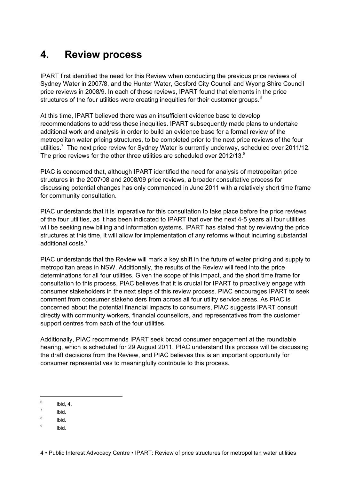# **4. Review process**

IPART first identified the need for this Review when conducting the previous price reviews of Sydney Water in 2007/8, and the Hunter Water, Gosford City Council and Wyong Shire Council price reviews in 2008/9. In each of these reviews, IPART found that elements in the price structures of the four utilities were creating inequities for their customer groups.<sup>6</sup>

At this time, IPART believed there was an insufficient evidence base to develop recommendations to address these inequities. IPART subsequently made plans to undertake additional work and analysis in order to build an evidence base for a formal review of the metropolitan water pricing structures, to be completed prior to the next price reviews of the four utilities.<sup>7</sup> The next price review for Sydney Water is currently underway, scheduled over 2011/12. The price reviews for the other three utilities are scheduled over 2012/13. $8$ 

PIAC is concerned that, although IPART identified the need for analysis of metropolitan price structures in the 2007/08 and 2008/09 price reviews, a broader consultative process for discussing potential changes has only commenced in June 2011 with a relatively short time frame for community consultation.

PIAC understands that it is imperative for this consultation to take place before the price reviews of the four utilities, as it has been indicated to IPART that over the next 4-5 years all four utilities will be seeking new billing and information systems. IPART has stated that by reviewing the price structures at this time, it will allow for implementation of any reforms without incurring substantial additional costs. 9

PIAC understands that the Review will mark a key shift in the future of water pricing and supply to metropolitan areas in NSW. Additionally, the results of the Review will feed into the price determinations for all four utilities. Given the scope of this impact, and the short time frame for consultation to this process, PIAC believes that it is crucial for IPART to proactively engage with consumer stakeholders in the next steps of this review process. PIAC encourages IPART to seek comment from consumer stakeholders from across all four utility service areas. As PIAC is concerned about the potential financial impacts to consumers, PIAC suggests IPART consult directly with community workers, financial counsellors, and representatives from the customer support centres from each of the four utilities.

Additionally, PIAC recommends IPART seek broad consumer engagement at the roundtable hearing, which is scheduled for 29 August 2011. PIAC understand this process will be discussing the draft decisions from the Review, and PIAC believes this is an important opportunity for consumer representatives to meaningfully contribute to this process.

 $6$  Ibid, 4.

 $<sup>7</sup>$  Ibid.</sup>

<sup>8</sup> Ibid.

<sup>9</sup> Ibid*.*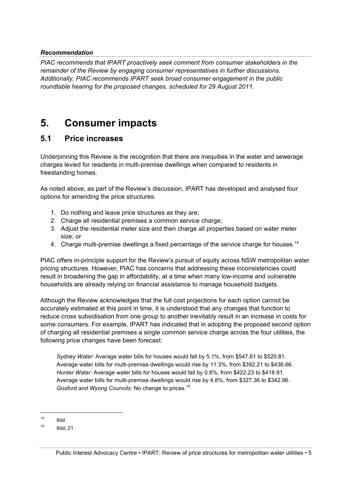#### *Recommendation*

*PIAC recommends that IPART proactively seek comment from consumer stakeholders in the remainder of the Review by engaging consumer representatives in further discussions. Additionally, PIAC recommends IPART seek broad consumer engagement in the public roundtable hearing for the proposed changes, scheduled for 29 August 2011.*

## **5. Consumer impacts**

#### **5.1 Price increases**

Underpinning this Review is the recognition that there are inequities in the water and sewerage charges levied for residents in multi-premise dwellings when compared to residents in freestanding homes.

As noted above, as part of the Review's discussion, IPART has developed and analysed four options for amending the price structures:

- 1. Do nothing and leave price structures as they are;
- 2. Charge all residential premises a common service charge;
- 3. Adjust the residential meter size and then charge all properties based on water meter size; or
- 4. Charge multi-premise dwellings a fixed percentage of the service charge for houses.<sup>14</sup>

PIAC offers in-principle support for the Review's pursuit of equity across NSW metropolitan water pricing structures. However, PIAC has concerns that addressing these inconsistencies could result in broadening the gap in affordability, at a time when many low-income and vulnerable households are already relying on financial assistance to manage household budgets.

Although the Review acknowledges that the full cost projections for each option cannot be accurately estimated at this point in time, it is understood that any changes that function to reduce cross subsidisation from one group to another inevitably result in an increase in costs for some consumers. For example, IPART has indicated that in adopting the proposed second option of charging all residential premises a single common service charge across the four utilities, the following price changes have been forecast:

*Sydney Water:* Average water bills for houses would fall by 5.1%, from \$547.61 to \$520.81. Average water bills for multi-premise dwellings would rise by 11.3%, from \$392.21 to \$436.66. *Hunter Water:* Average water bills for houses would fall by 0.8%, from \$422.23 to \$418.91. Average water bills for multi-premise dwellings would rise by 4.8%, from \$327.36 to \$342.96. *Gosford and Wyong Councils:* No change to prices.<sup>15</sup>

 $14$  Ibid.

 $15$  Ibid, 21.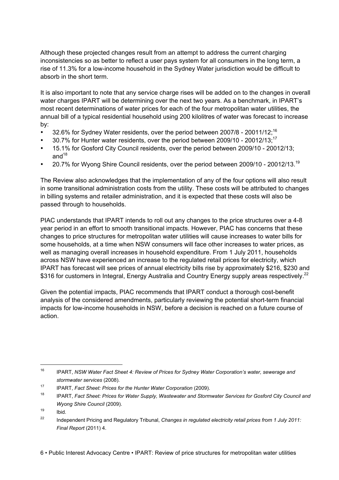Although these projected changes result from an attempt to address the current charging inconsistencies so as better to reflect a user pays system for all consumers in the long term, a rise of 11.3% for a low-income household in the Sydney Water jurisdiction would be difficult to absorb in the short term.

It is also important to note that any service charge rises will be added on to the changes in overall water charges IPART will be determining over the next two years. As a benchmark, in IPART's most recent determinations of water prices for each of the four metropolitan water utilities, the annual bill of a typical residential household using 200 kilolitres of water was forecast to increase by:

- 32.6% for Sydney Water residents, over the period between 2007/8 20011/12;<sup>16</sup>
- 30.7% for Hunter water residents, over the period between 2009/10 20012/13;<sup>17</sup>
- 15.1% for Gosford City Council residents, over the period between 2009/10 20012/13; and $18$
- 20.7% for Wyong Shire Council residents, over the period between 2009/10 20012/13.<sup>19</sup>

The Review also acknowledges that the implementation of any of the four options will also result in some transitional administration costs from the utility. These costs will be attributed to changes in billing systems and retailer administration, and it is expected that these costs will also be passed through to households.

PIAC understands that IPART intends to roll out any changes to the price structures over a 4-8 year period in an effort to smooth transitional impacts. However, PIAC has concerns that these changes to price structures for metropolitan water utilities will cause increases to water bills for some households, at a time when NSW consumers will face other increases to water prices, as well as managing overall increases in household expenditure. From 1 July 2011, households across NSW have experienced an increase to the regulated retail prices for electricity, which IPART has forecast will see prices of annual electricity bills rise by approximately \$216, \$230 and \$316 for customers in Integral, Energy Australia and Country Energy supply areas respectively.<sup>22</sup>

Given the potential impacts, PIAC recommends that IPART conduct a thorough cost-benefit analysis of the considered amendments, particularly reviewing the potential short-term financial impacts for low-income households in NSW, before a decision is reached on a future course of action.

 <sup>16</sup> IPART, *NSW Water Fact Sheet 4: Review of Prices for Sydney Water Corporation's water, sewerage and stormwater services* (2008).

<sup>17</sup> IPART, *Fact Sheet: Prices for the Hunter Water Corporation* (2009).

<sup>18</sup> IPART, *Fact Sheet: Prices for Water Supply, Wastewater and Stormwater Services for Gosford City Council and Wyong Shire Council* (2009).

 $19$  Ibid.

<sup>22</sup> Independent Pricing and Regulatory Tribunal, *Changes in regulated electricity retail prices from 1 July 2011: Final Report* (2011) 4.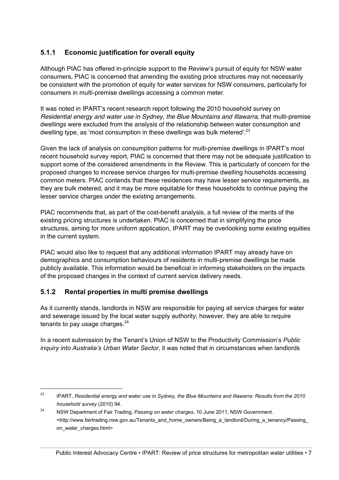#### **5.1.1 Economic justification for overall equity**

Although PIAC has offered in-principle support to the Review's pursuit of equity for NSW water consumers, PIAC is concerned that amending the existing price structures may not necessarily be consistent with the promotion of equity for water services for NSW consumers, particularly for consumers in multi-premise dwellings accessing a common meter.

It was noted in IPART's recent research report following the 2010 household survey on *Residential energy and water use in Sydney, the Blue Mountains and Illawarra,* that multi-premise dwellings were excluded from the analysis of the relationship between water consumption and dwelling type, as 'most consumption in these dwellings was bulk metered'.<sup>23</sup>

Given the lack of analysis on consumption patterns for multi-premise dwellings in IPART's most recent household survey report, PIAC is concerned that there may not be adequate justification to support some of the considered amendments in the Review. This is particularly of concern for the proposed changes to increase service charges for multi-premise dwelling households accessing common meters. PIAC contends that these residences may have lesser service requirements, as they are bulk metered, and it may be more equitable for these households to continue paying the lesser service charges under the existing arrangements.

PIAC recommends that, as part of the cost-benefit analysis, a full review of the merits of the existing pricing structures is undertaken. PIAC is concerned that in simplifying the price structures, aiming for more uniform application, IPART may be overlooking some existing equities in the current system.

PIAC would also like to request that any additional information IPART may already have on demographics and consumption behaviours of residents in multi-premise dwellings be made publicly available. This information would be beneficial in informing stakeholders on the impacts of the proposed changes in the context of current service delivery needs.

#### **5.1.2 Rental properties in multi premise dwellings**

As it currently stands, landlords in NSW are responsible for paying all service charges for water and sewerage issued by the local water supply authority; however, they are able to require tenants to pay usage charges. $24$ 

In a recent submission by the Tenant's Union of NSW to the Productivity Commission's *Public inquiry into Australia's Urban Water Sector*, it was noted that in circumstances when landlords

 <sup>23</sup> IPART, *Residential energy and water use in Sydney, the Blue Mountains and Illawarra: Results from the 2010 household survey* (2010) 94.

<sup>24</sup> NSW Department of Fair Trading, *Passing on water charges*, 10 June 2011, NSW Government. <http://www.fairtrading.nsw.gov.au/Tenants\_and\_home\_owners/Being\_a\_landlord/During\_a\_tenancy/Passing on\_water\_charges.html>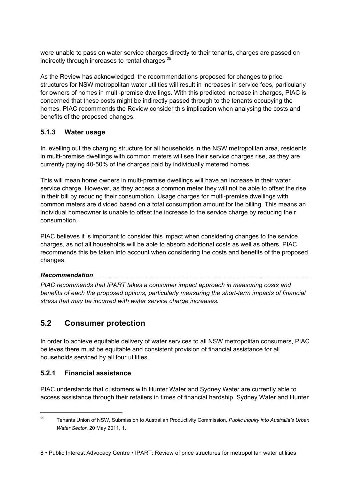were unable to pass on water service charges directly to their tenants, charges are passed on indirectly through increases to rental charges.<sup>25</sup>

As the Review has acknowledged, the recommendations proposed for changes to price structures for NSW metropolitan water utilities will result in increases in service fees, particularly for owners of homes in multi-premise dwellings. With this predicted increase in charges, PIAC is concerned that these costs might be indirectly passed through to the tenants occupying the homes. PIAC recommends the Review consider this implication when analysing the costs and benefits of the proposed changes.

#### **5.1.3 Water usage**

In levelling out the charging structure for all households in the NSW metropolitan area, residents in multi-premise dwellings with common meters will see their service charges rise, as they are currently paying 40-50% of the charges paid by individually metered homes.

This will mean home owners in multi-premise dwellings will have an increase in their water service charge. However, as they access a common meter they will not be able to offset the rise in their bill by reducing their consumption. Usage charges for multi-premise dwellings with common meters are divided based on a total consumption amount for the billing. This means an individual homeowner is unable to offset the increase to the service charge by reducing their consumption.

PIAC believes it is important to consider this impact when considering changes to the service charges, as not all households will be able to absorb additional costs as well as others. PIAC recommends this be taken into account when considering the costs and benefits of the proposed changes.

## *Recommendation*

*PIAC recommends that IPART takes a consumer impact approach in measuring costs and benefits of each the proposed options, particularly measuring the short-term impacts of financial stress that may be incurred with water service charge increases.*

### **5.2 Consumer protection**

In order to achieve equitable delivery of water services to all NSW metropolitan consumers, PIAC believes there must be equitable and consistent provision of financial assistance for all households serviced by all four utilities.

#### **5.2.1 Financial assistance**

PIAC understands that customers with Hunter Water and Sydney Water are currently able to access assistance through their retailers in times of financial hardship. Sydney Water and Hunter

 <sup>25</sup> Tenants Union of NSW, Submission to Australian Productivity Commission, *Public inquiry into Australia's Urban Water Sector*, 20 May 2011, 1.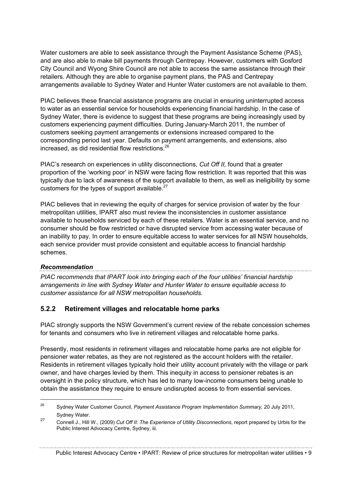Water customers are able to seek assistance through the Payment Assistance Scheme (PAS), and are also able to make bill payments through Centrepay. However, customers with Gosford City Council and Wyong Shire Council are not able to access the same assistance through their retailers. Although they are able to organise payment plans, the PAS and Centrepay arrangements available to Sydney Water and Hunter Water customers are not available to them.

PIAC believes these financial assistance programs are crucial in ensuring uninterrupted access to water as an essential service for households experiencing financial hardship. In the case of Sydney Water, there is evidence to suggest that these programs are being increasingly used by customers experiencing payment difficulties. During January-March 2011, the number of customers seeking payment arrangements or extensions increased compared to the corresponding period last year. Defaults on payment arrangements, and extensions, also increased, as did residential flow restrictions.<sup>26</sup>

PIAC's research on experiences in utility disconnections, *Cut Off II,* found that a greater proportion of the 'working poor' in NSW were facing flow restriction. It was reported that this was typically due to lack of awareness of the support available to them, as well as ineligibility by some customers for the types of support available. $27$ 

PIAC believes that in reviewing the equity of charges for service provision of water by the four metropolitan utilities, IPART also must review the inconsistencies in customer assistance available to households serviced by each of these retailers. Water is an essential service, and no consumer should be flow restricted or have disrupted service from accessing water because of an inability to pay. In order to ensure equitable access to water services for all NSW households, each service provider must provide consistent and equitable access to financial hardship schemes.

*Recommendation PIAC recommends that IPART look into bringing each of the four utilities' financial hardship arrangements in line with Sydney Water and Hunter Water to ensure equitable access to customer assistance for all NSW metropolitan households.*

#### **5.2.2 Retirement villages and relocatable home parks**

PIAC strongly supports the NSW Government's current review of the rebate concession schemes for tenants and consumers who live in retirement villages and relocatable home parks.

Presently, most residents in retirement villages and relocatable home parks are not eligible for pensioner water rebates, as they are not registered as the account holders with the retailer. Residents in retirement villages typically hold their utility account privately with the village or park owner, and have charges levied by them. This inequity in access to pensioner rebates is an oversight in the policy structure, which has led to many low-income consumers being unable to obtain the assistance they require to ensure undisrupted access to from essential services.

 <sup>26</sup> Sydney Water Customer Council, *Payment Assistance Program Implementation Summary,* 20 July 2011, Sydney Water.

<sup>27</sup> Connell J., Hill W., (2009) *Cut Off II: The Experience of Utility Disconnections*, report prepared by Urbis for the Public Interest Advocacy Centre, Sydney, iii.